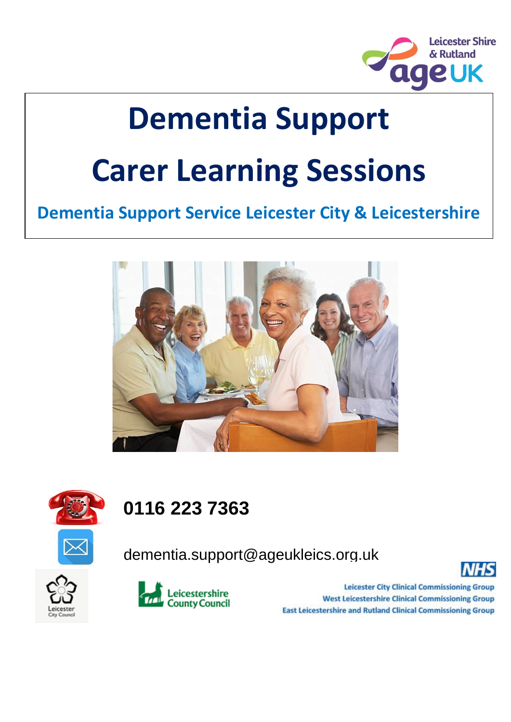

# **Dementia Support Carer Learning Sessions**

#### **Dementia Support Service Leicester City & Leicestershire**





#### **0116 223 7363**

dementia.support@ageukleics.org.uk







**Leicester City Clinical Commissioning Group West Leicestershire Clinical Commissioning Group East Leicestershire and Rutland Clinical Commissioning Group**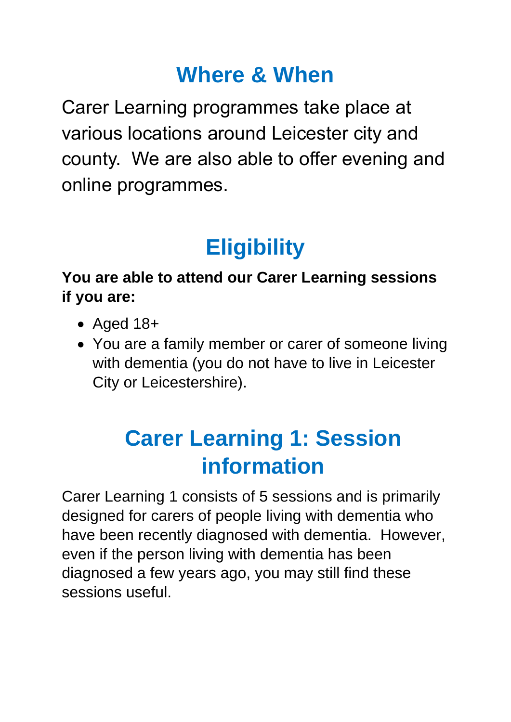## **Where & When**

Carer Learning programmes take place at various locations around Leicester city and county. We are also able to offer evening and online programmes.

# **Eligibility**

#### **You are able to attend our Carer Learning sessions if you are:**

- Aged 18+
- You are a family member or carer of someone living with dementia (you do not have to live in Leicester City or Leicestershire).

# **Carer Learning 1: Session information**

Carer Learning 1 consists of 5 sessions and is primarily designed for carers of people living with dementia who have been recently diagnosed with dementia. However, even if the person living with dementia has been diagnosed a few years ago, you may still find these sessions useful.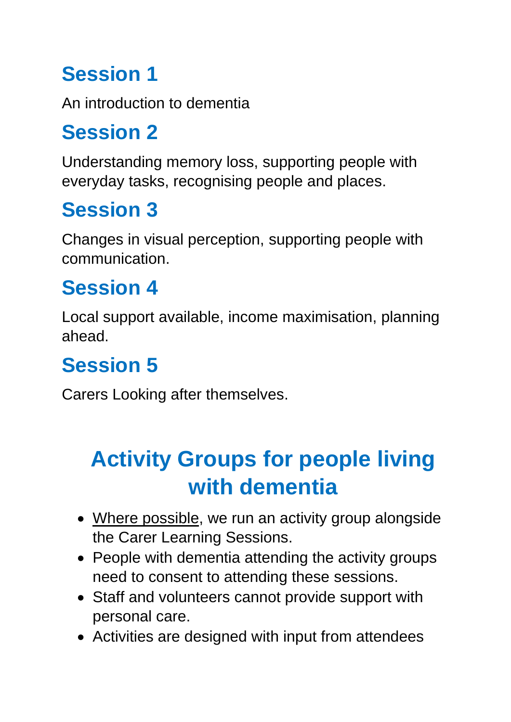## **Session 1**

An introduction to dementia

#### **Session 2**

Understanding memory loss, supporting people with everyday tasks, recognising people and places.

## **Session 3**

Changes in visual perception, supporting people with communication.

#### **Session 4**

Local support available, income maximisation, planning ahead.

#### **Session 5**

Carers Looking after themselves.

# **Activity Groups for people living with dementia**

- Where possible, we run an activity group alongside the Carer Learning Sessions.
- People with dementia attending the activity groups need to consent to attending these sessions.
- Staff and volunteers cannot provide support with personal care.
- Activities are designed with input from attendees